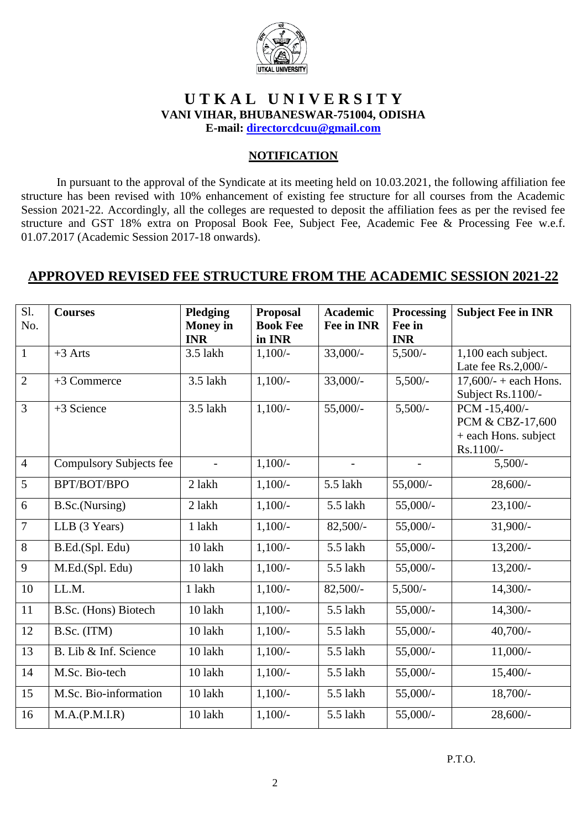

# **U T K A L U N I V E R S I T Y VANI VIHAR, BHUBANESWAR-751004, ODISHA**

**E-mail: [directorcdcuu@gmail.com](mailto:directorcdcuu@gmail.com)**

#### **NOTIFICATION**

In pursuant to the approval of the Syndicate at its meeting held on 10.03.2021, the following affiliation fee structure has been revised with 10% enhancement of existing fee structure for all courses from the Academic Session 2021-22. Accordingly, all the colleges are requested to deposit the affiliation fees as per the revised fee structure and GST 18% extra on Proposal Book Fee, Subject Fee, Academic Fee & Processing Fee w.e.f. 01.07.2017 (Academic Session 2017-18 onwards).

## **APPROVED REVISED FEE STRUCTURE FROM THE ACADEMIC SESSION 2021-22**

| S1.<br>No.     | <b>Courses</b>                 | Pledging<br><b>Money</b> in<br><b>INR</b> | <b>Proposal</b><br><b>Book Fee</b><br>in INR | <b>Academic</b><br><b>Fee in INR</b> | Processing<br>Fee in<br><b>INR</b> | <b>Subject Fee in INR</b>                                              |
|----------------|--------------------------------|-------------------------------------------|----------------------------------------------|--------------------------------------|------------------------------------|------------------------------------------------------------------------|
| $\mathbf{1}$   | $+3$ Arts                      | 3.5 lakh                                  | $1,100/-$                                    | $33,000/-$                           | $5,500/-$                          | 1,100 each subject.<br>Late fee Rs.2,000/-                             |
| $\overline{2}$ | +3 Commerce                    | 3.5 lakh                                  | $1,100/-$                                    | $33,000/$ -                          | $5,500/-$                          | $17,600/- + each Hons.$<br>Subject Rs.1100/-                           |
| $\overline{3}$ | +3 Science                     | 3.5 lakh                                  | $1,100/-$                                    | 55,000/-                             | $5,500/-$                          | PCM -15,400/-<br>PCM & CBZ-17,600<br>+ each Hons. subject<br>Rs.1100/- |
| $\overline{4}$ | <b>Compulsory Subjects fee</b> | $\overline{\phantom{a}}$                  | $1,100/-$                                    | $\overline{\phantom{a}}$             | $\overline{\phantom{a}}$           | $5,500/-$                                                              |
| 5              | BPT/BOT/BPO                    | 2 lakh                                    | $1,100/-$                                    | 5.5 lakh                             | 55,000/-                           | $28,600/-$                                                             |
| 6              | B.Sc.(Nursing)                 | 2 lakh                                    | $1,100/-$                                    | 5.5 lakh                             | 55,000/-                           | $23,100/-$                                                             |
| $\overline{7}$ | LLB (3 Years)                  | 1 lakh                                    | $1,100/-$                                    | $82,500/-$                           | 55,000/-                           | $31,900/-$                                                             |
| 8              | B.Ed.(Spl. Edu)                | 10 lakh                                   | $1,100/-$                                    | 5.5 lakh                             | 55,000/-                           | $13,200/-$                                                             |
| 9              | M.Ed.(Spl. Edu)                | 10 lakh                                   | $1,100/-$                                    | 5.5 lakh                             | 55,000/-                           | $13,200/-$                                                             |
| 10             | LL.M.                          | 1 lakh                                    | $1,100/-$                                    | $82,500/-$                           | $5,500/-$                          | $14,300/-$                                                             |
| 11             | B.Sc. (Hons) Biotech           | 10 lakh                                   | $1,100/-$                                    | 5.5 lakh                             | 55,000/-                           | $14,300/-$                                                             |
| 12             | B.Sc. (ITM)                    | 10 lakh                                   | $1,100/-$                                    | 5.5 lakh                             | 55,000/-                           | $40,700/-$                                                             |
| 13             | B. Lib & Inf. Science          | 10 lakh                                   | $1,100/-$                                    | 5.5 lakh                             | 55,000/-                           | $11,000/-$                                                             |
| 14             | M.Sc. Bio-tech                 | 10 lakh                                   | $1,100/-$                                    | 5.5 lakh                             | 55,000/-                           | $15,400/-$                                                             |
| 15             | M.Sc. Bio-information          | 10 lakh                                   | $1,100/-$                                    | 5.5 lakh                             | 55,000/-                           | $18,700/-$                                                             |
| 16             | M.A.(P.M.I.R)                  | 10 lakh                                   | $1,100/-$                                    | 5.5 lakh                             | 55,000/-                           | $28,600/$ -                                                            |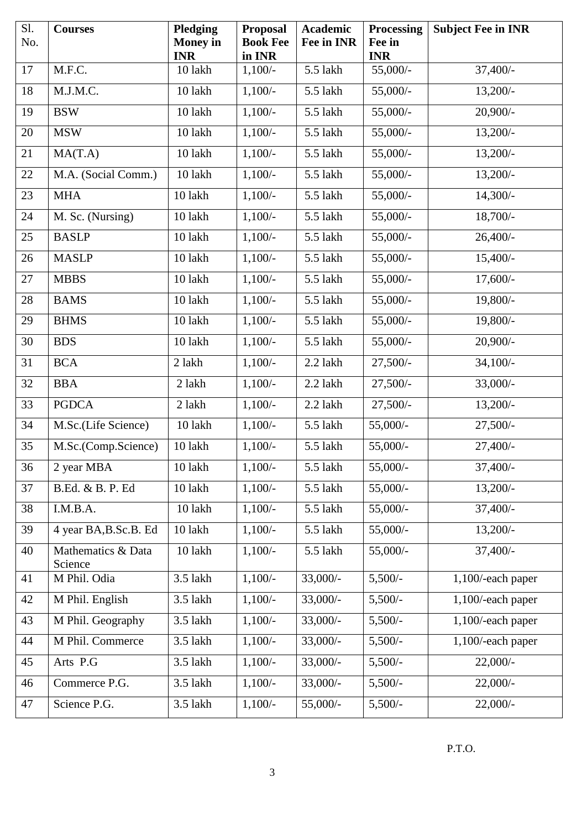| Sl.<br>No. | <b>Courses</b>                | Pledging<br><b>Money</b> in<br><b>INR</b> | <b>Proposal</b><br><b>Book Fee</b><br>in INR | <b>Academic</b><br><b>Fee in INR</b> | <b>Processing</b><br>Fee in<br><b>INR</b> | <b>Subject Fee in INR</b> |
|------------|-------------------------------|-------------------------------------------|----------------------------------------------|--------------------------------------|-------------------------------------------|---------------------------|
| 17         | M.F.C.                        | 10 lakh                                   | $1,100/-$                                    | 5.5 lakh                             | 55,000/-                                  | $37,400/-$                |
| 18         | M.J.M.C.                      | 10 lakh                                   | $1,100/-$                                    | 5.5 lakh                             | 55,000/-                                  | $13,200/-$                |
| 19         | <b>BSW</b>                    | 10 lakh                                   | $1,100/-$                                    | 5.5 lakh                             | 55,000/-                                  | $20,900/-$                |
| 20         | <b>MSW</b>                    | 10 lakh                                   | $1,100/-$                                    | 5.5 lakh                             | 55,000/-                                  | $13,200/-$                |
| 21         | MA(T.A)                       | 10 lakh                                   | $1,100/-$                                    | 5.5 lakh                             | 55,000/-                                  | $13,200/-$                |
| 22         | M.A. (Social Comm.)           | 10 lakh                                   | $1,100/-$                                    | 5.5 lakh                             | 55,000/-                                  | $13,200/-$                |
| 23         | <b>MHA</b>                    | 10 lakh                                   | $1,100/-$                                    | 5.5 lakh                             | 55,000/-                                  | $14,300/-$                |
| 24         | M. Sc. (Nursing)              | 10 lakh                                   | $1,100/-$                                    | 5.5 lakh                             | 55,000/-                                  | 18,700/-                  |
| 25         | <b>BASLP</b>                  | 10 lakh                                   | $1,100/-$                                    | 5.5 lakh                             | 55,000/-                                  | $26,400/$ -               |
| 26         | <b>MASLP</b>                  | 10 lakh                                   | $1,100/-$                                    | 5.5 lakh                             | $55,000/-$                                | $15,400/-$                |
| 27         | <b>MBBS</b>                   | 10 lakh                                   | $1,100/-$                                    | 5.5 lakh                             | 55,000/-                                  | $17,600/-$                |
| 28         | <b>BAMS</b>                   | 10 lakh                                   | $1,100/-$                                    | 5.5 lakh                             | 55,000/-                                  | 19,800/-                  |
| 29         | <b>BHMS</b>                   | 10 lakh                                   | $1,100/-$                                    | 5.5 lakh                             | 55,000/-                                  | 19,800/-                  |
| 30         | <b>BDS</b>                    | 10 lakh                                   | $1,100/-$                                    | 5.5 lakh                             | 55,000/-                                  | $20,900/$ -               |
| 31         | <b>BCA</b>                    | 2 lakh                                    | $1,100/-$                                    | 2.2 lakh                             | $27,500/-$                                | $34,100/-$                |
| 32         | <b>BBA</b>                    | 2 lakh                                    | $1,100/-$                                    | 2.2 lakh                             | $27,500/-$                                | 33,000/-                  |
| 33         | <b>PGDCA</b>                  | 2 lakh                                    | $1,100/-$                                    | 2.2 lakh                             | $27,500/-$                                | $13,200/-$                |
| 34         | M.Sc.(Life Science)           | 10 lakh                                   | $1,100/-$                                    | 5.5 lakh                             | 55,000/-                                  | $27,500/-$                |
| 35         | M.Sc.(Comp.Science)           | 10 lakh                                   | $1,100/-$                                    | 5.5 lakh                             | 55,000/-                                  | $27,400/-$                |
| 36         | 2 year MBA                    | 10 lakh                                   | $1,100/-$                                    | 5.5 lakh                             | 55,000/-                                  | $37,400/$ -               |
| 37         | B.Ed. & B. P. Ed              | 10 lakh                                   | $1,100/-$                                    | 5.5 lakh                             | 55,000/-                                  | $13,200/-$                |
| 38         | I.M.B.A.                      | 10 lakh                                   | $1,100/-$                                    | 5.5 lakh                             | 55,000/-                                  | $37,400/-$                |
| 39         | 4 year BA, B.Sc.B. Ed         | 10 lakh                                   | $1,100/-$                                    | 5.5 lakh                             | 55,000/-                                  | $13,200/-$                |
| 40         | Mathematics & Data<br>Science | 10 lakh                                   | $1,100/-$                                    | 5.5 lakh                             | 55,000/-                                  | $37,400/-$                |
| 41         | M Phil. Odia                  | 3.5 lakh                                  | $1,100/-$                                    | $33,000/-$                           | $5,500/-$                                 | 1,100/-each paper         |
| 42         | M Phil. English               | 3.5 lakh                                  | $1,100/-$                                    | $33,000/-$                           | $5,500/-$                                 | 1,100/-each paper         |
| 43         | M Phil. Geography             | 3.5 lakh                                  | $1,100/-$                                    | $33,000/-$                           | $5,500/-$                                 | 1,100/-each paper         |
| 44         | M Phil. Commerce              | 3.5 lakh                                  | $1,100/-$                                    | $33,000/-$                           | $5,500/-$                                 | 1,100/-each paper         |
| 45         | Arts P.G                      | 3.5 lakh                                  | $1,100/-$                                    | $33,000/-$                           | $5,500/-$                                 | $22,000/-$                |
| 46         | Commerce P.G.                 | 3.5 lakh                                  | $1,100/-$                                    | $33,000/-$                           | $5,500/-$                                 | $22,000/-$                |
| 47         | Science P.G.                  | 3.5 lakh                                  | $1,100/-$                                    | 55,000/-                             | $5,500/-$                                 | $22,000/-$                |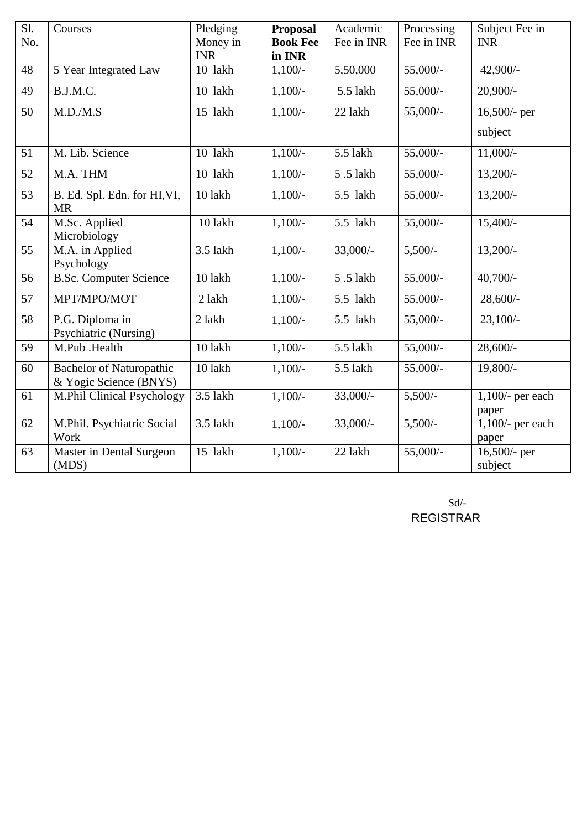| S1.<br>No. | Courses                                                   | Pledging<br>Money in<br><b>INR</b> | <b>Proposal</b><br><b>Book Fee</b><br>in INR | Academic<br>Fee in INR | Processing<br>Fee in INR | Subject Fee in<br><b>INR</b> |
|------------|-----------------------------------------------------------|------------------------------------|----------------------------------------------|------------------------|--------------------------|------------------------------|
| 48         | 5 Year Integrated Law                                     | 10 lakh                            | $1,100/-$                                    | 5,50,000               | $55,000/-$               | 42,900/-                     |
| 49         | B.J.M.C.                                                  | 10 lakh                            | $1,100/-$                                    | 5.5 lakh               | 55,000/-                 | $20,900/-$                   |
| 50         | M.D./M.S                                                  | 15 lakh                            | $1,100/-$                                    | 22 lakh                | 55,000/-                 | 16,500/- per<br>subject      |
| 51         | M. Lib. Science                                           | 10 lakh                            | $1,100/-$                                    | 5.5 lakh               | $55,000/$ -              | $11,000/-$                   |
| 52         | M.A. THM                                                  | 10 lakh                            | $1,100/-$                                    | 5.5 lakh               | 55,000/-                 | $13,200/-$                   |
| 53         | B. Ed. Spl. Edn. for HI, VI,<br><b>MR</b>                 | 10 lakh                            | $1,100/-$                                    | 5.5 lakh               | 55,000/-                 | $13,200/-$                   |
| 54         | M.Sc. Applied<br>Microbiology                             | 10 lakh                            | $1,100/-$                                    | 5.5 lakh               | 55,000/-                 | $15,400/-$                   |
| 55         | M.A. in Applied<br>Psychology                             | $3.5$ lakh                         | $1,100/-$                                    | $33,000/-$             | $5,500/-$                | $13,200/-$                   |
| 56         | <b>B.Sc. Computer Science</b>                             | 10 lakh                            | $1,100/-$                                    | 5.5 lakh               | 55,000/-                 | $40,700/-$                   |
| 57         | MPT/MPO/MOT                                               | 2 lakh                             | $1,100/-$                                    | 5.5 lakh               | 55,000/-                 | $28,600/-$                   |
| 58         | P.G. Diploma in<br>Psychiatric (Nursing)                  | 2 lakh                             | $1,100/-$                                    | 5.5 lakh               | 55,000/-                 | $23,100/-$                   |
| 59         | M.Pub .Health                                             | 10 lakh                            | $1,100/-$                                    | 5.5 lakh               | 55,000/-                 | $28,600/-$                   |
| 60         | <b>Bachelor of Naturopathic</b><br>& Yogic Science (BNYS) | 10 lakh                            | $1,100/-$                                    | 5.5 lakh               | 55,000/-                 | 19,800/-                     |
| 61         | M.Phil Clinical Psychology                                | 3.5 lakh                           | $1,100/-$                                    | $33,000/-$             | $5,500/-$                | $1,100/$ - per each<br>paper |
| 62         | M.Phil. Psychiatric Social<br>Work                        | 3.5 lakh                           | $1,100/-$                                    | $33,000/-$             | $5,500/-$                | $1,100$ - per each<br>paper  |
| 63         | Master in Dental Surgeon<br>(MDS)                         | 15 lakh                            | $1,100/-$                                    | 22 lakh                | 55,000/-                 | $16,500$ - per<br>subject    |

Sd/- REGISTRAR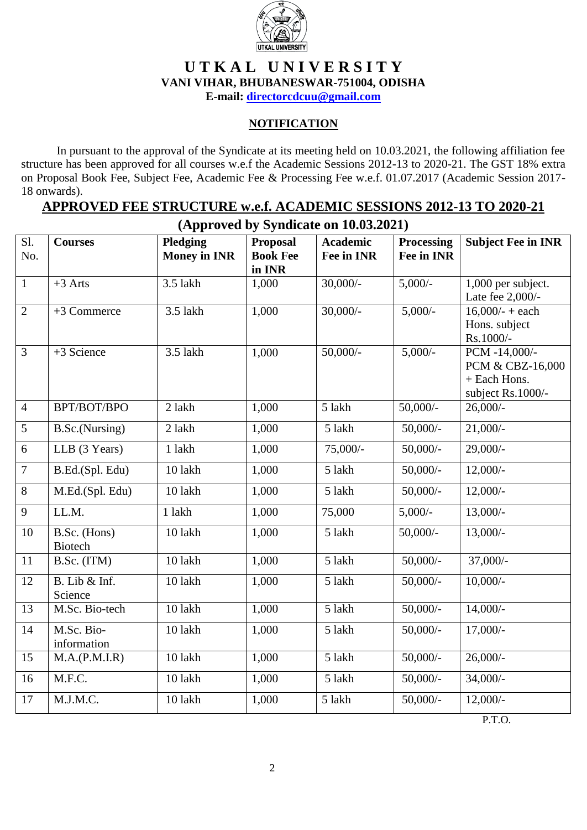

# **U T K A L U N I V E R S I T Y VANI VIHAR, BHUBANESWAR-751004, ODISHA**

**E-mail: [directorcdcuu@gmail.com](mailto:directorcdcuu@gmail.com)**

### **NOTIFICATION**

In pursuant to the approval of the Syndicate at its meeting held on 10.03.2021, the following affiliation fee structure has been approved for all courses w.e.f the Academic Sessions 2012-13 to 2020-21. The GST 18% extra on Proposal Book Fee, Subject Fee, Academic Fee & Processing Fee w.e.f. 01.07.2017 (Academic Session 2017- 18 onwards).

### **APPROVED FEE STRUCTURE w.e.f. ACADEMIC SESSIONS 2012-13 TO 2020-21 (Approved by Syndicate on 10.03.2021)**

|                | $(1$ pp over by by interest on 10.00.1021) |                                        |                                              |                                      |                                 |                                                                        |  |  |  |
|----------------|--------------------------------------------|----------------------------------------|----------------------------------------------|--------------------------------------|---------------------------------|------------------------------------------------------------------------|--|--|--|
| Sl.<br>No.     | <b>Courses</b>                             | <b>Pledging</b><br><b>Money in INR</b> | <b>Proposal</b><br><b>Book Fee</b><br>in INR | <b>Academic</b><br><b>Fee in INR</b> | <b>Processing</b><br>Fee in INR | <b>Subject Fee in INR</b>                                              |  |  |  |
| $\overline{1}$ | $+3$ Arts                                  | 3.5 lakh                               | 1,000                                        | $30,000/-$                           | $5,000/-$                       | 1,000 per subject.<br>Late fee 2,000/-                                 |  |  |  |
| $\overline{2}$ | +3 Commerce                                | 3.5 lakh                               | 1,000                                        | $30,000/$ -                          | $5,000/-$                       | $16,000/ - +$ each<br>Hons. subject<br>Rs.1000/-                       |  |  |  |
| $\overline{3}$ | +3 Science                                 | 3.5 lakh                               | 1,000                                        | $50,000/$ -                          | $5,000/-$                       | PCM -14,000/-<br>PCM & CBZ-16,000<br>+ Each Hons.<br>subject Rs.1000/- |  |  |  |
| $\overline{4}$ | BPT/BOT/BPO                                | 2 lakh                                 | 1,000                                        | 5 lakh                               | $50,000/-$                      | $26,000/-$                                                             |  |  |  |
| $\overline{5}$ | B.Sc.(Nursing)                             | 2 lakh                                 | 1,000                                        | 5 lakh                               | $50,000/$ -                     | $21,000/-$                                                             |  |  |  |
| $\overline{6}$ | LLB (3 Years)                              | 1 lakh                                 | 1,000                                        | $75,000/-$                           | $50,000/-$                      | $29,000/-$                                                             |  |  |  |
| $\overline{7}$ | B.Ed.(Spl. Edu)                            | 10 lakh                                | 1,000                                        | 5 lakh                               | $50,000/$ -                     | $12,000/-$                                                             |  |  |  |
| $\overline{8}$ | M.Ed.(Spl. Edu)                            | 10 lakh                                | 1,000                                        | 5 lakh                               | $50,000/-$                      | $12,000/-$                                                             |  |  |  |
| $\overline{9}$ | LL.M.                                      | 1 lakh                                 | 1,000                                        | 75,000                               | $5,000/-$                       | $13,000/-$                                                             |  |  |  |
| 10             | B.Sc. (Hons)<br><b>Biotech</b>             | 10 lakh                                | 1,000                                        | 5 lakh                               | $50,000/$ -                     | $13,000/-$                                                             |  |  |  |
| 11             | B.Sc. (ITM)                                | 10 lakh                                | 1,000                                        | 5 lakh                               | $50,000/$ -                     | $37,000/-$                                                             |  |  |  |
| 12             | B. Lib & Inf.<br>Science                   | 10 lakh                                | 1,000                                        | 5 lakh                               | $50,000/$ -                     | $10,000/-$                                                             |  |  |  |
| 13             | M.Sc. Bio-tech                             | 10 lakh                                | 1,000                                        | 5 lakh                               | $50,000/$ -                     | $14,000/-$                                                             |  |  |  |
| 14             | M.Sc. Bio-<br>information                  | 10 lakh                                | 1,000                                        | 5 lakh                               | $50,000/-$                      | $17,000/-$                                                             |  |  |  |
| 15             | M.A.(P.M.I.R)                              | 10 lakh                                | 1,000                                        | 5 lakh                               | $50,000/$ -                     | $26,000/$ -                                                            |  |  |  |
| 16             | M.F.C.                                     | 10 lakh                                | 1,000                                        | 5 lakh                               | $50,000/-$                      | $34,000/-$                                                             |  |  |  |
| 17             | M.J.M.C.                                   | 10 lakh                                | 1,000                                        | 5 lakh                               | $50,000/$ -                     | $12,000/-$                                                             |  |  |  |

P.T.O.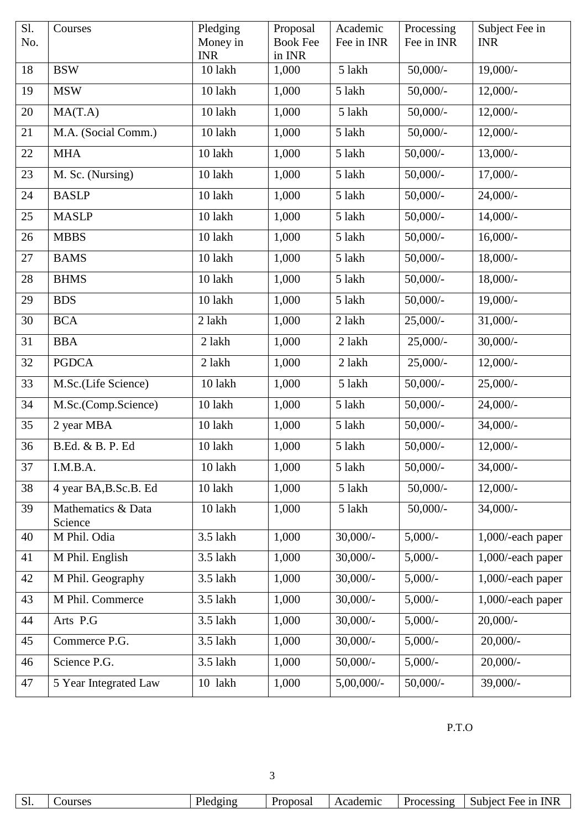| Sl. | Courses                       | Pledging               | Proposal                  | Academic      | Processing            | Subject Fee in    |
|-----|-------------------------------|------------------------|---------------------------|---------------|-----------------------|-------------------|
| No. |                               | Money in<br><b>INR</b> | <b>Book Fee</b><br>in INR | Fee in INR    | Fee in INR            | <b>INR</b>        |
| 18  | <b>BSW</b>                    | 10 lakh                | 1,000                     | 5 lakh        | $50,000/$ -           | $19,000/-$        |
| 19  | <b>MSW</b>                    | 10 lakh                | 1,000                     | 5 lakh        | $50,000/-$            | $12,000/-$        |
| 20  | MA(T.A)                       | 10 lakh                | 1,000                     | 5 lakh        | $50,000/$ -           | $12,000/-$        |
| 21  | M.A. (Social Comm.)           | 10 lakh                | 1,000                     | 5 lakh        | $50,000/$ -           | $12,000/-$        |
| 22  | <b>MHA</b>                    | 10 lakh                | 1,000                     | 5 lakh        | $50,000/$ -           | $13,000/-$        |
| 23  | M. Sc. (Nursing)              | 10 lakh                | 1,000                     | 5 lakh        | $50,000/-$            | $17,000/-$        |
| 24  | <b>BASLP</b>                  | 10 lakh                | 1,000                     | 5 lakh        | $50,000/$ -           | $24,000/-$        |
| 25  | <b>MASLP</b>                  | 10 lakh                | 1,000                     | 5 lakh        | $50,000/$ -           | $14,000/-$        |
| 26  | <b>MBBS</b>                   | 10 lakh                | 1,000                     | 5 lakh        | $50,000/$ -           | $16,000/-$        |
| 27  | <b>BAMS</b>                   | 10 lakh                | 1,000                     | 5 lakh        | $50,000/-$            | $18,000/-$        |
| 28  | <b>BHMS</b>                   | 10 lakh                | 1,000                     | 5 lakh        | $50,000/$ -           | $18,000/-$        |
| 29  | <b>BDS</b>                    | 10 lakh                | 1,000                     | 5 lakh        | $50,000/$ -           | $19,000/-$        |
| 30  | <b>BCA</b>                    | 2 lakh                 | 1,000                     | 2 lakh        | $25,000/-$            | $31,000/-$        |
| 31  | <b>BBA</b>                    | 2 lakh                 | 1,000                     | 2 lakh        | $25,000/-$            | $30,000/-$        |
| 32  | <b>PGDCA</b>                  | 2 lakh                 | 1,000                     | 2 lakh        | $25,000/-$            | $12,000/-$        |
| 33  | M.Sc.(Life Science)           | 10 lakh                | 1,000                     | 5 lakh        | $50,000/$ -           | $25,000/-$        |
| 34  | M.Sc.(Comp.Science)           | 10 lakh                | 1,000                     | 5 lakh        | $50,000$ <sup>-</sup> | 24,000/-          |
| 35  | 2 year MBA                    | 10 lakh                | 1,000                     | 5 lakh        | $50,000/$ -           | $34,000/-$        |
| 36  | B.Ed. & B. P. Ed              | 10 lakh                | 1,000                     | 5 lakh        | $50,000/$ -           | $12,000/-$        |
| 37  | I.M.B.A.                      | 10 lakh                | 1,000                     | 5 lakh        | $50,000/$ -           | $34,000/-$        |
| 38  | 4 year BA, B.Sc.B. Ed         | 10 lakh                | 1,000                     | 5 lakh        | $50,000/$ -           | $12,000/-$        |
| 39  | Mathematics & Data<br>Science | 10 lakh                | 1,000                     | 5 lakh        | $50,000/$ -           | 34,000/-          |
| 40  | M Phil. Odia                  | 3.5 lakh               | 1,000                     | $30,000/$ -   | $5,000/-$             | 1,000/-each paper |
| 41  | M Phil. English               | 3.5 lakh               | 1,000                     | $30,000/$ -   | $5,000/-$             | 1,000/-each paper |
| 42  | M Phil. Geography             | 3.5 lakh               | 1,000                     | $30,000/$ -   | $5,000/-$             | 1,000/-each paper |
| 43  | M Phil. Commerce              | 3.5 lakh               | 1,000                     | $30,000/$ -   | $5,000/-$             | 1,000/-each paper |
| 44  | Arts P.G                      | 3.5 lakh               | 1,000                     | $30,000/$ -   | $5,000/-$             | $20,000/$ -       |
| 45  | Commerce P.G.                 | 3.5 lakh               | 1,000                     | $30,000/$ -   | $5,000/-$             | $20,000/-$        |
| 46  | Science P.G.                  | 3.5 lakh               | 1,000                     | $50,000/$ -   | $5,000/-$             | $20,000/$ -       |
| 47  | 5 Year Integrated Law         | 10 lakh                | 1,000                     | $5,00,000/$ - | $50,000/$ -           | $39,000/-$        |

P.T.O

| $\sim$<br><b>INR</b><br>Drono<br>cademic<br>Subject<br><b>Proces</b><br>.ourses<br>-1r<br>НДД<br>nno<br>wsa<br>UI.<br>$\mathbf{v}$<br>$\mathbf{1}$ |
|----------------------------------------------------------------------------------------------------------------------------------------------------|
|----------------------------------------------------------------------------------------------------------------------------------------------------|